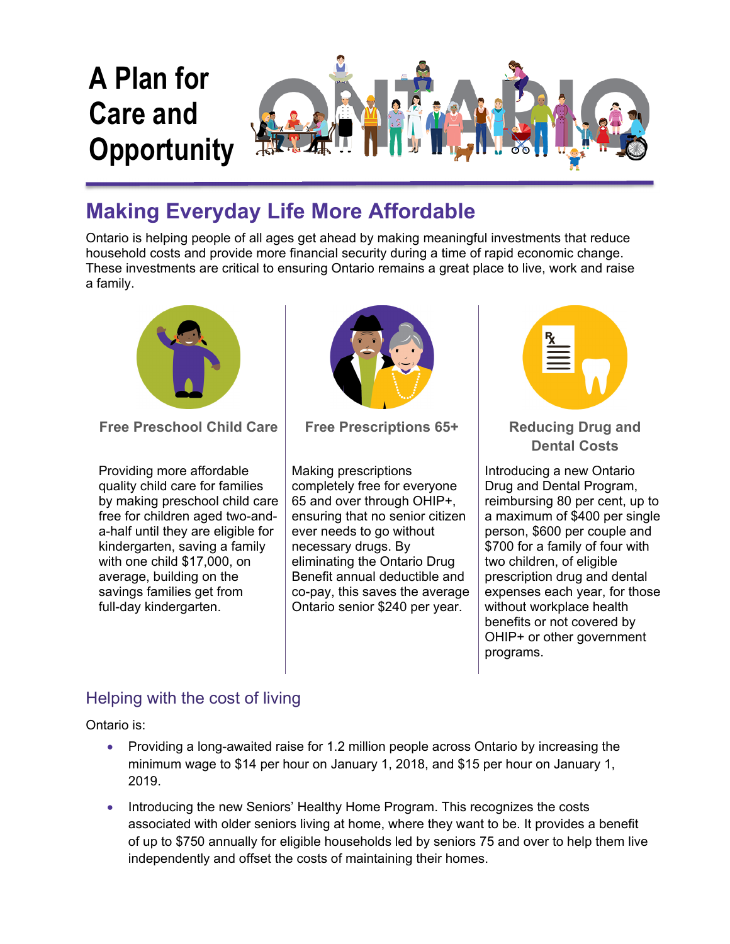

# **Making Everyday Life More Affordable**

Ontario is helping people of all ages get ahead by making meaningful investments that reduce household costs and provide more financial security during a time of rapid economic change. These investments are critical to ensuring Ontario remains a great place to live, work and raise a family.



**Free Preschool Child Care Free Prescriptions 65+ Reducing Drug and** 

Providing more affordable quality child care for families by making preschool child care free for children aged two-anda-half until they are eligible for kindergarten, saving a family with one child \$17,000, on average, building on the savings families get from full-day kindergarten.



Making prescriptions completely free for everyone 65 and over through OHIP+, ensuring that no senior citizen ever needs to go without necessary drugs. By eliminating the Ontario Drug Benefit annual deductible and co-pay, this saves the average Ontario senior \$240 per year.



**Dental Costs** 

Introducing a new Ontario Drug and Dental Program, reimbursing 80 per cent, up to a maximum of \$400 per single person, \$600 per couple and \$700 for a family of four with two children, of eligible prescription drug and dental expenses each year, for those without workplace health benefits or not covered by OHIP+ or other government programs.

## Helping with the cost of living

Ontario is:

- Providing a long-awaited raise for 1.2 million people across Ontario by increasing the minimum wage to \$14 per hour on January 1, 2018, and \$15 per hour on January 1, 2019.
- Introducing the new Seniors' Healthy Home Program. This recognizes the costs associated with older seniors living at home, where they want to be. It provides a benefit of up to \$750 annually for eligible households led by seniors 75 and over to help them live independently and offset the costs of maintaining their homes.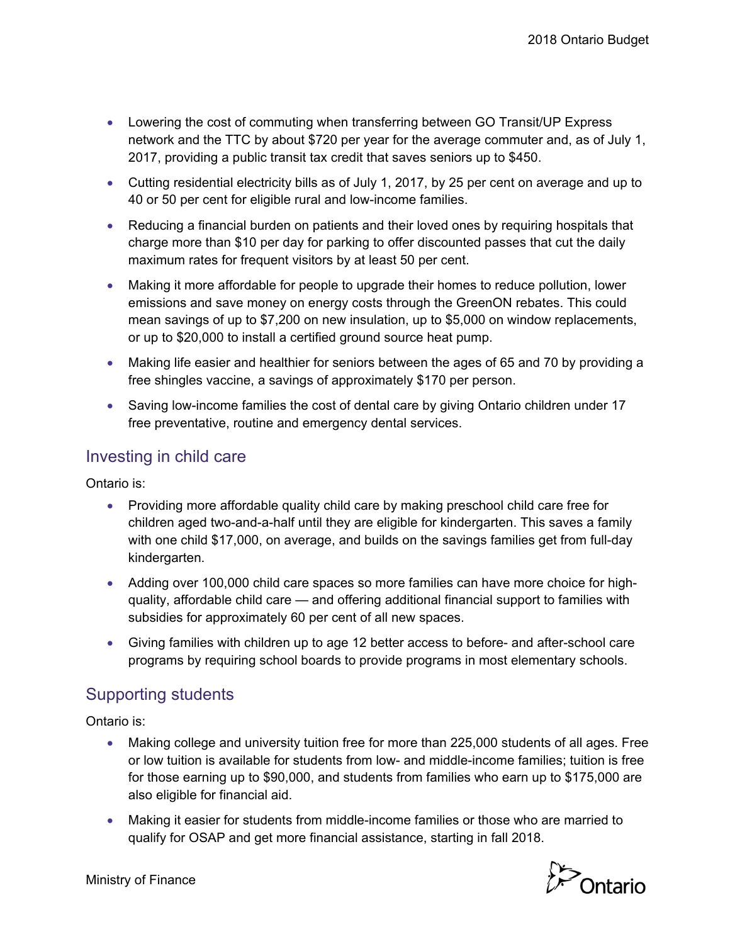- Lowering the cost of commuting when transferring between GO Transit/UP Express network and the TTC by about \$720 per year for the average commuter and, as of July 1, 2017, providing a public transit tax credit that saves seniors up to \$450.
- Cutting residential electricity bills as of July 1, 2017, by 25 per cent on average and up to 40 or 50 per cent for eligible rural and low-income families.
- Reducing a financial burden on patients and their loved ones by requiring hospitals that charge more than \$10 per day for parking to offer discounted passes that cut the daily maximum rates for frequent visitors by at least 50 per cent.
- Making it more affordable for people to upgrade their homes to reduce pollution, lower emissions and save money on energy costs through the GreenON rebates. This could mean savings of up to \$7,200 on new insulation, up to \$5,000 on window replacements, or up to \$20,000 to install a certified ground source heat pump.
- Making life easier and healthier for seniors between the ages of 65 and 70 by providing a free shingles vaccine, a savings of approximately \$170 per person.
- Saving low-income families the cost of dental care by giving Ontario children under 17 free preventative, routine and emergency dental services.

### Investing in child care

Ontario is:

- Providing more affordable quality child care by making preschool child care free for children aged two-and-a-half until they are eligible for kindergarten. This saves a family with one child \$17,000, on average, and builds on the savings families get from full-day kindergarten.
- Adding over 100,000 child care spaces so more families can have more choice for highquality, affordable child care — and offering additional financial support to families with subsidies for approximately 60 per cent of all new spaces.
- Giving families with children up to age 12 better access to before- and after-school care programs by requiring school boards to provide programs in most elementary schools.

## Supporting students

Ontario is:

- Making college and university tuition free for more than 225,000 students of all ages. Free or low tuition is available for students from low- and middle-income families; tuition is free for those earning up to \$90,000, and students from families who earn up to \$175,000 are also eligible for financial aid.
- Making it easier for students from middle-income families or those who are married to qualify for OSAP and get more financial assistance, starting in fall 2018.



Ministry of Finance